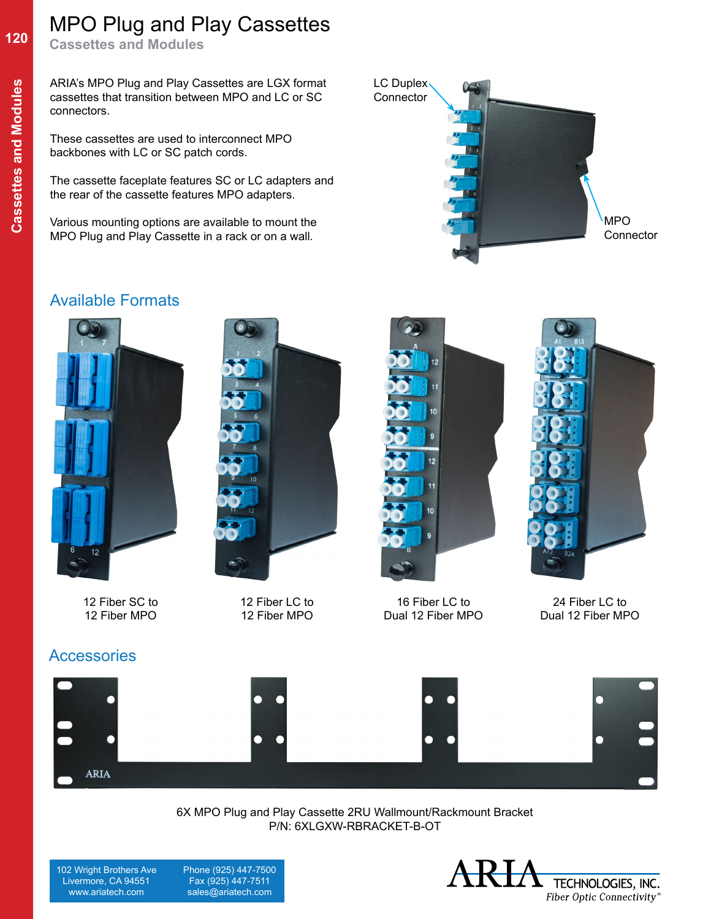## MPO Plug and Play Cassettes

**Cassettes and Modules**

ARIA's MPO Plug and Play Cassettes are LGX format cassettes that transition between MPO and LC or SC connectors.

These cassettes are used to interconnect MPO backbones with LC or SC patch cords.

The cassette faceplate features SC or LC adapters and the rear of the cassette features MPO adapters.

Various mounting options are available to mount the MPO Plug and Play Cassette in a rack or on a wall.

#### Available Formats





12 Fiber SC to 12 Fiber MPO

12 Fiber LC to 12 Fiber MPO



LC Duplex Connector



MPO **Connector** 

16 Fiber LC to Dual 12 Fiber MPO

24 Fiber LC to Dual 12 Fiber MPO





6X MPO Plug and Play Cassette 2RU Wallmount/Rackmount Bracket P/N: 6XLGXW-RBRACKET-B-OT

102 Wright Brothers Ave Livermore, CA 94551 www.ariatech.com

**ARIA** 

 Phone (925) 447-7500 Fax (925) 447-7511 sales@ariatech.com



**120**